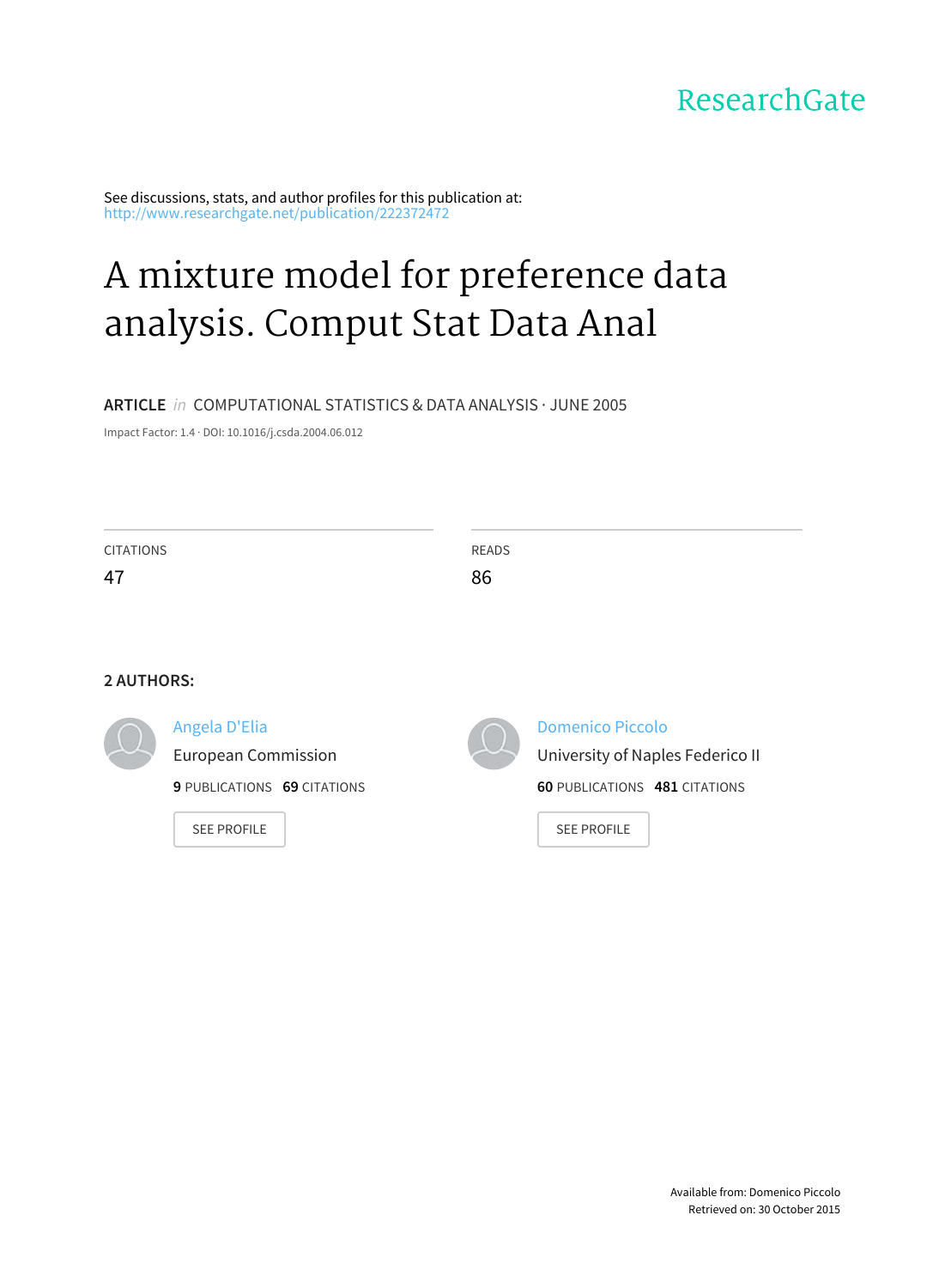# ResearchGate

See discussions, stats, and author profiles for this publication at: [http://www.researchgate.net/publication/222372472](http://www.researchgate.net/publication/222372472_A_mixture_model_for_preference_data_analysis._Comput_Stat_Data_Anal?enrichId=rgreq-9c08eb5b-c9d9-4bac-8a63-15ade262a196&enrichSource=Y292ZXJQYWdlOzIyMjM3MjQ3MjtBUzoxMDE1NTg2MzczMDE3NjFAMTQwMTIyNDg3NDUxNw%3D%3D&el=1_x_2)

# A mixture model for [preference](http://www.researchgate.net/publication/222372472_A_mixture_model_for_preference_data_analysis._Comput_Stat_Data_Anal?enrichId=rgreq-9c08eb5b-c9d9-4bac-8a63-15ade262a196&enrichSource=Y292ZXJQYWdlOzIyMjM3MjQ3MjtBUzoxMDE1NTg2MzczMDE3NjFAMTQwMTIyNDg3NDUxNw%3D%3D&el=1_x_3) data analysis. Comput Stat Data Anal

# **ARTICLE** in COMPUTATIONAL STATISTICS & DATA ANALYSIS · JUNE 2005

Impact Factor: 1.4 · DOI: 10.1016/j.csda.2004.06.012

| <b>CITATIONS</b><br>47 |                                                   | <b>READS</b><br>86 |                                                            |  |  |
|------------------------|---------------------------------------------------|--------------------|------------------------------------------------------------|--|--|
| <b>2 AUTHORS:</b>      | Angela D'Elia                                     |                    | <b>Domenico Piccolo</b>                                    |  |  |
|                        | <b>European Commission</b>                        |                    | University of Naples Federico II                           |  |  |
|                        | 9 PUBLICATIONS 69 CITATIONS<br><b>SEE PROFILE</b> |                    | <b>60 PUBLICATIONS 481 CITATIONS</b><br><b>SEE PROFILE</b> |  |  |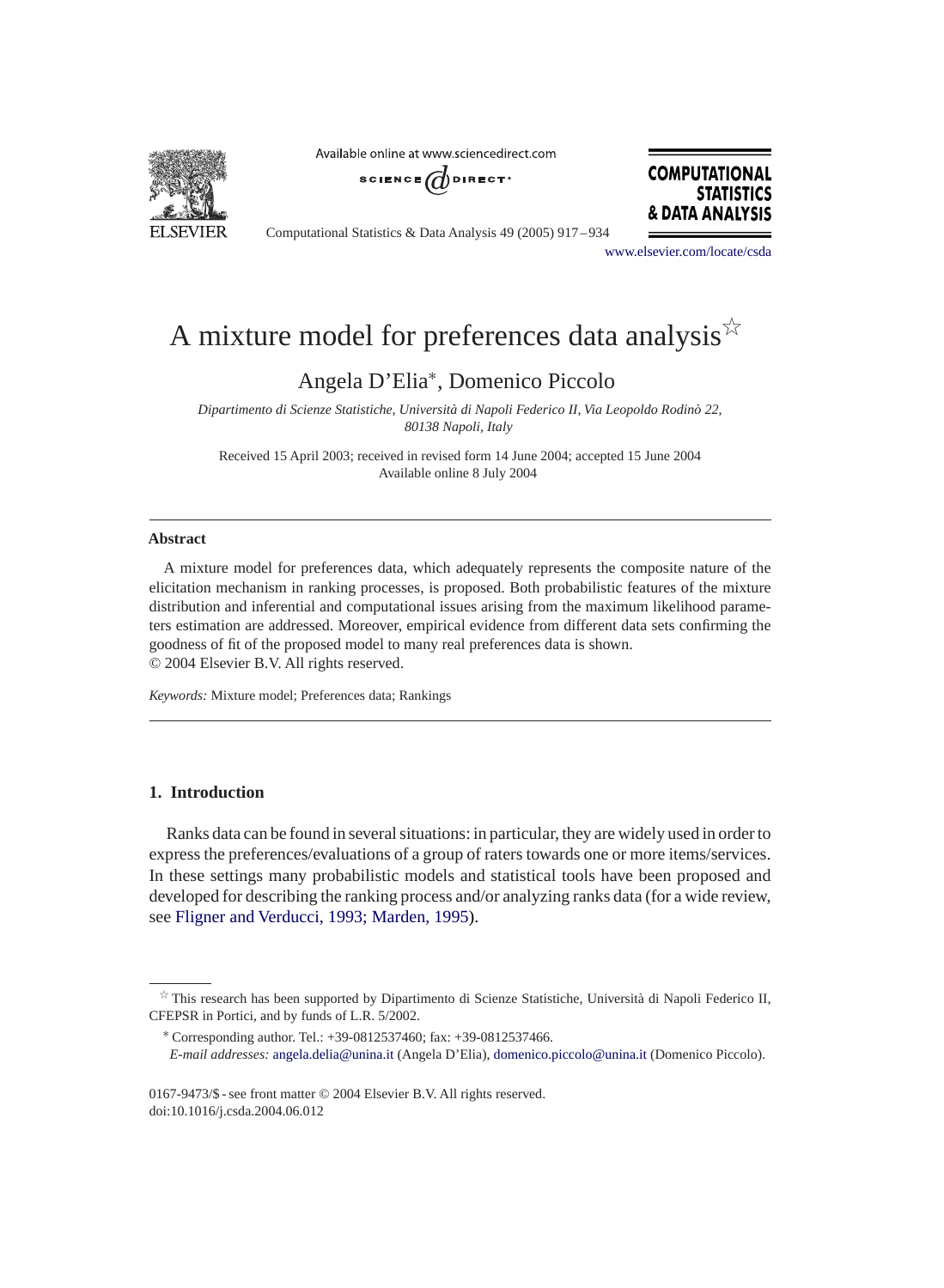

Available online at www.sciencedirect.com





Computational Statistics & Data Analysis 49 (2005) 917 – 934

[www.elsevier.com/locate/csda](http://www.elsevier.com/locate/csda)

# A mixture model for preferences data analysis  $\overrightarrow{x}$

Angela D'Elia<sup>∗</sup>, Domenico Piccolo

*Dipartimento di Scienze Statistiche, Università di Napoli Federico II, Via Leopoldo Rodinò 22, 80138 Napoli, Italy*

Received 15 April 2003; received in revised form 14 June 2004; accepted 15 June 2004 Available online 8 July 2004

### **Abstract**

A mixture model for preferences data, which adequately represents the composite nature of the elicitation mechanism in ranking processes, is proposed. Both probabilistic features of the mixture distribution and inferential and computational issues arising from the maximum likelihood parameters estimation are addressed. Moreover, empirical evidence from different data sets confirming the goodness of fit of the proposed model to many real preferences data is shown. © 2004 Elsevier B.V. All rights reserved.

*Keywords:* Mixture model; Preferences data; Rankings

# **1. Introduction**

Ranks data can be found in several situations: in particular, they are widely used in order to express the preferences/evaluations of a group of raters towards one or more items/services. In these settings many probabilistic models and statistical tools have been proposed and developed for describing the ranking process and/or analyzing ranks data (for a wide review, see Fligner and Verducci, 1993; Marden, 1995).

This research has been supported by Dipartimento di Scienze Statistiche, Università di Napoli Federico II, CFEPSR in Portici, and by funds of L.R. 5/2002.

<sup>∗</sup> Corresponding author. Tel.: +39-0812537460; fax: +39-0812537466.

*E-mail addresses:* [angela.delia@unina.it](mailto:angela.delia@unina.it) (Angela D'Elia), [domenico.piccolo@unina.it](mailto:domenico.piccolo@unina.it) (Domenico Piccolo).

<sup>0167-9473/\$ -</sup> see front matter © 2004 Elsevier B.V. All rights reserved. doi:10.1016/j.csda.2004.06.012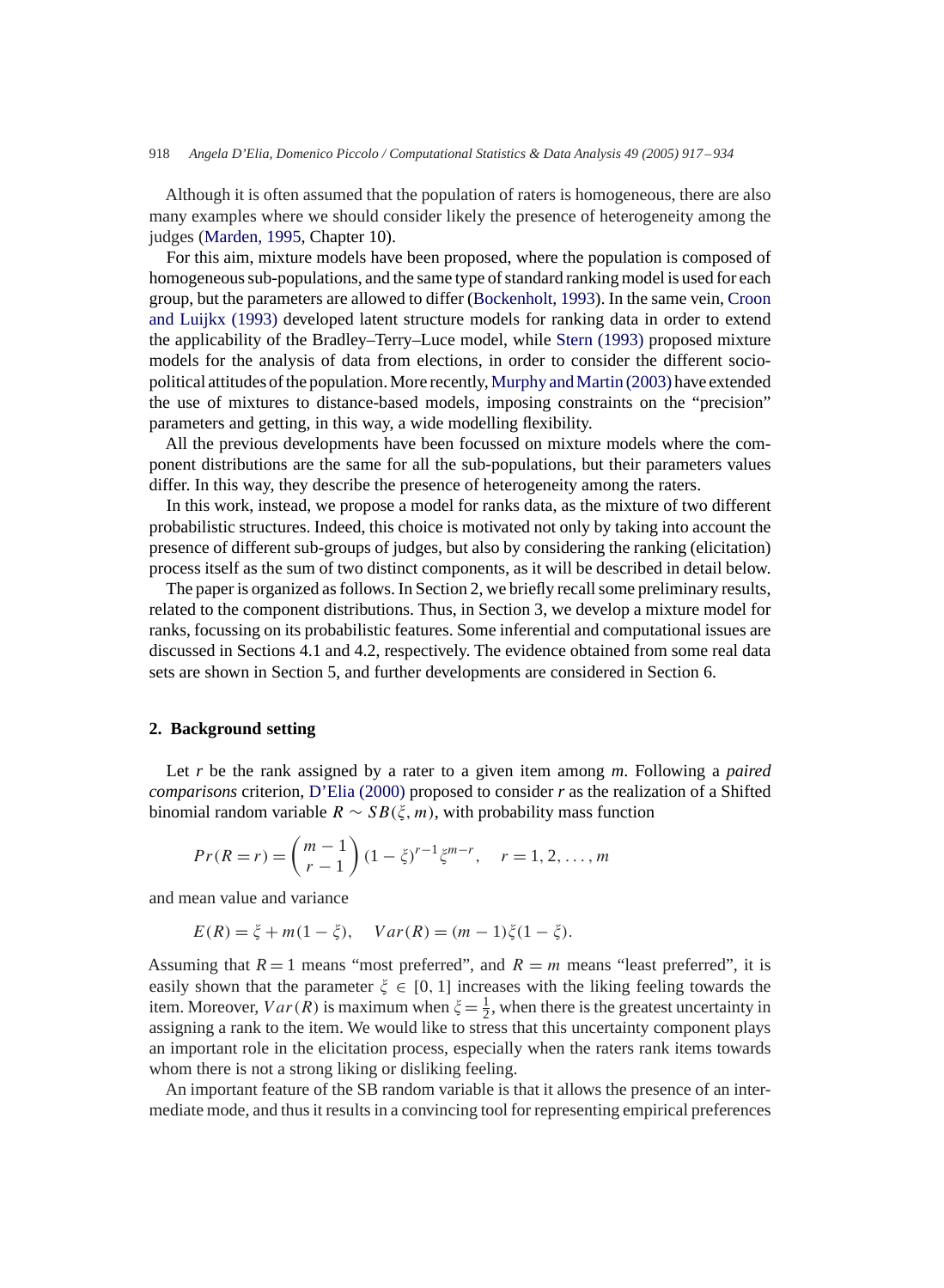Although it is often assumed that the population of raters is homogeneous, there are also many examples where we should consider likely the presence of heterogeneity among the judges (Marden, 1995, Chapter 10).

For this aim, mixture models have been proposed, where the population is composed of homogeneous sub-populations, and the same type of standard ranking model is used for each group, but the parameters are allowed to differ (Bockenholt, 1993). In the same vein, Croon and Luijkx (1993) developed latent structure models for ranking data in order to extend the applicability of the Bradley–Terry–Luce model, while Stern (1993) proposed mixture models for the analysis of data from elections, in order to consider the different sociopolitical attitudes of the population.More recently,Murphy andMartin (2003) have extended the use of mixtures to distance-based models, imposing constraints on the "precision" parameters and getting, in this way, a wide modelling flexibility.

All the previous developments have been focussed on mixture models where the component distributions are the same for all the sub-populations, but their parameters values differ. In this way, they describe the presence of heterogeneity among the raters.

In this work, instead, we propose a model for ranks data, as the mixture of two different probabilistic structures. Indeed, this choice is motivated not only by taking into account the presence of different sub-groups of judges, but also by considering the ranking (elicitation) process itself as the sum of two distinct components, as it will be described in detail below.

The paper is organized as follows. In Section 2, we briefly recall some preliminary results, related to the component distributions. Thus, in Section 3, we develop a mixture model for ranks, focussing on its probabilistic features. Some inferential and computational issues are discussed in Sections 4.1 and 4.2, respectively. The evidence obtained from some real data sets are shown in Section 5, and further developments are considered in Section 6.

#### **2. Background setting**

Let *r* be the rank assigned by a rater to a given item among *m*. Following a *paired comparisons* criterion, D'Elia (2000) proposed to consider *r* as the realization of a Shifted binomial random variable  $R \sim SB(\xi, m)$ , with probability mass function

$$
Pr(R = r) = {m-1 \choose r-1} (1 - \xi)^{r-1} \xi^{m-r}, \quad r = 1, 2, ..., m
$$

and mean value and variance

$$
E(R) = \xi + m(1 - \xi), \quad Var(R) = (m - 1)\xi(1 - \xi).
$$

Assuming that  $R = 1$  means "most preferred", and  $R = m$  means "least preferred", it is easily shown that the parameter  $\xi \in [0, 1]$  increases with the liking feeling towards the item. Moreover,  $Var(R)$  is maximum when  $\xi = \frac{1}{2}$ , when there is the greatest uncertainty in assigning a rank to the item. We would like to stress that this uncertainty component plays an important role in the elicitation process, especially when the raters rank items towards whom there is not a strong liking or disliking feeling.

An important feature of the SB random variable is that it allows the presence of an intermediate mode, and thus it results in a convincing tool for representing empirical preferences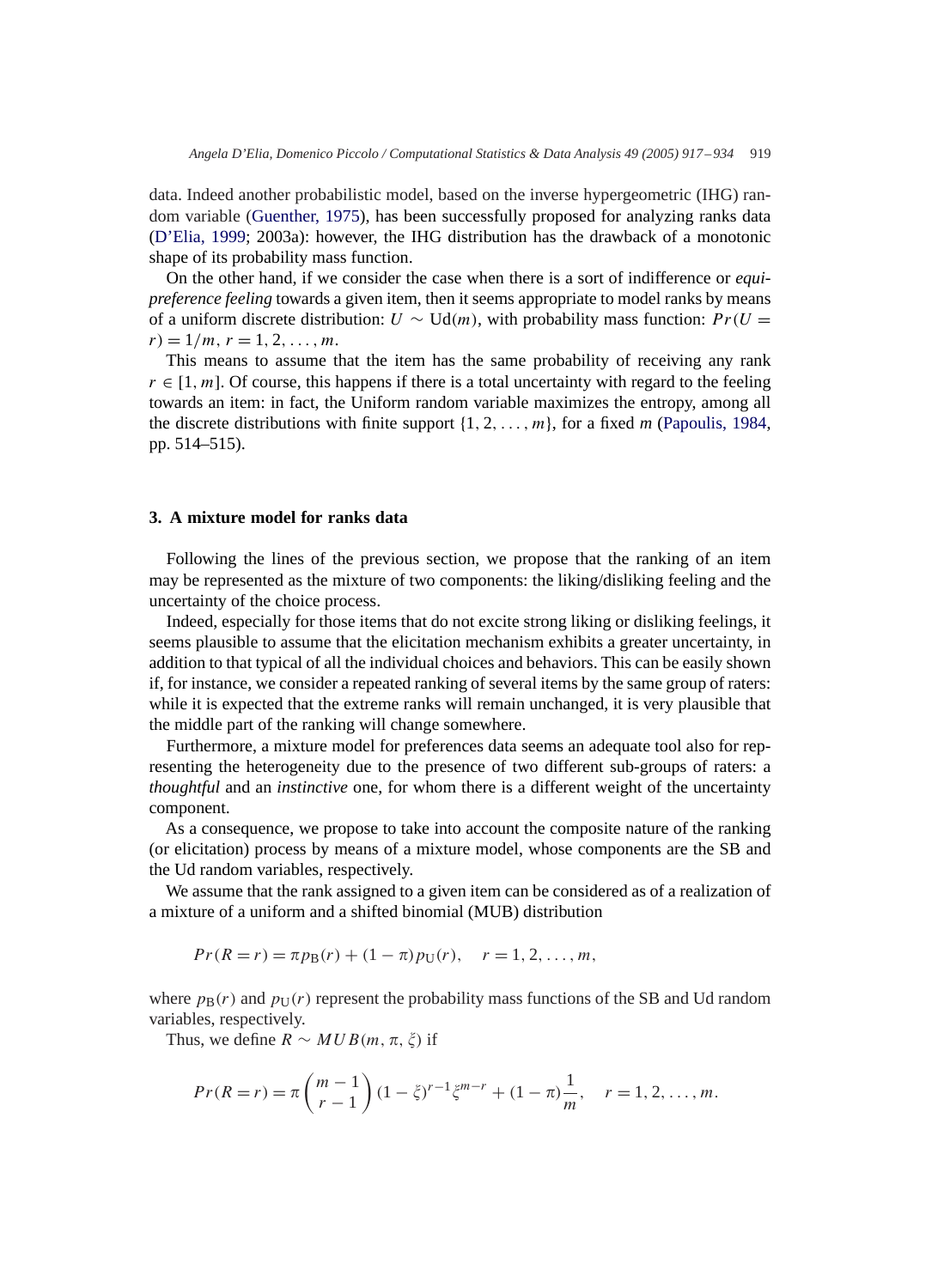data. Indeed another probabilistic model, based on the inverse hypergeometric (IHG) random variable (Guenther, 1975), has been successfully proposed for analyzing ranks data (D'Elia, 1999; 2003a): however, the IHG distribution has the drawback of a monotonic shape of its probability mass function.

On the other hand, if we consider the case when there is a sort of indifference or *equipreference feeling* towards a given item, then it seems appropriate to model ranks by means of a uniform discrete distribution:  $U \sim Ud(m)$ , with probability mass function:  $Pr(U =$  $r = 1/m, r = 1, 2, \ldots, m.$ 

This means to assume that the item has the same probability of receiving any rank  $r \in [1, m]$ . Of course, this happens if there is a total uncertainty with regard to the feeling towards an item: in fact, the Uniform random variable maximizes the entropy, among all the discrete distributions with finite support {1, 2,...,m}, for a fixed *m* (Papoulis, 1984, pp. 514–515).

# **3. A mixture model for ranks data**

Following the lines of the previous section, we propose that the ranking of an item may be represented as the mixture of two components: the liking/disliking feeling and the uncertainty of the choice process.

Indeed, especially for those items that do not excite strong liking or disliking feelings, it seems plausible to assume that the elicitation mechanism exhibits a greater uncertainty, in addition to that typical of all the individual choices and behaviors. This can be easily shown if, for instance, we consider a repeated ranking of several items by the same group of raters: while it is expected that the extreme ranks will remain unchanged, it is very plausible that the middle part of the ranking will change somewhere.

Furthermore, a mixture model for preferences data seems an adequate tool also for representing the heterogeneity due to the presence of two different sub-groups of raters: a *thoughtful* and an *instinctive* one, for whom there is a different weight of the uncertainty component.

As a consequence, we propose to take into account the composite nature of the ranking (or elicitation) process by means of a mixture model, whose components are the SB and the Ud random variables, respectively.

We assume that the rank assigned to a given item can be considered as of a realization of a mixture of a uniform and a shifted binomial (MUB) distribution

$$
Pr(R = r) = \pi p_{\rm B}(r) + (1 - \pi) p_{\rm U}(r), \quad r = 1, 2, ..., m,
$$

where  $p_B(r)$  and  $p_U(r)$  represent the probability mass functions of the SB and Ud random variables, respectively.

Thus, we define  $R \sim MUB(m, \pi, \xi)$  if

$$
Pr(R=r) = \pi {m-1 \choose r-1} (1-\xi)^{r-1} \xi^{m-r} + (1-\pi) \frac{1}{m}, \quad r = 1, 2, ..., m.
$$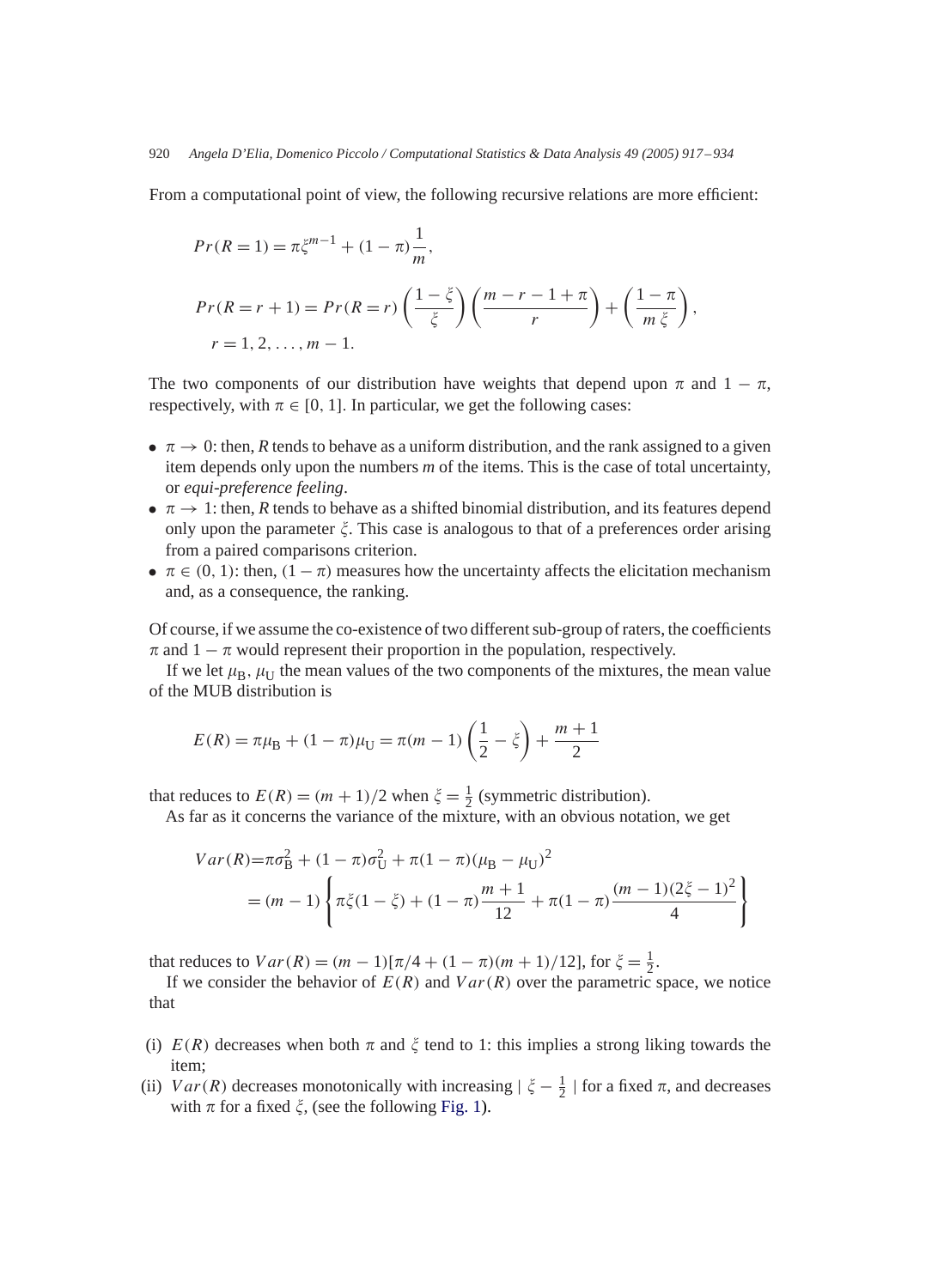From a computational point of view, the following recursive relations are more efficient:

$$
Pr(R = 1) = \pi \xi^{m-1} + (1 - \pi) \frac{1}{m},
$$
  
\n
$$
Pr(R = r + 1) = Pr(R = r) \left(\frac{1 - \xi}{\xi}\right) \left(\frac{m - r - 1 + \pi}{r}\right) + \left(\frac{1 - \pi}{m \xi}\right),
$$
  
\n
$$
r = 1, 2, ..., m - 1.
$$

The two components of our distribution have weights that depend upon  $\pi$  and  $1 - \pi$ , respectively, with  $\pi \in [0, 1]$ . In particular, we get the following cases:

- $\bullet \ \pi \rightarrow 0$ : then, *R* tends to behave as a uniform distribution, and the rank assigned to a given item depends only upon the numbers *m* of the items. This is the case of total uncertainty, or *equi-preference feeling*.
- $\pi \rightarrow 1$ : then, *R* tends to behave as a shifted binomial distribution, and its features depend only upon the parameter  $\xi$ . This case is analogous to that of a preferences order arising from a paired comparisons criterion.
- $\pi \in (0, 1)$ : then,  $(1 \pi)$  measures how the uncertainty affects the elicitation mechanism and, as a consequence, the ranking.

Of course, if we assume the co-existence of two different sub-group of raters, the coefficients  $\pi$  and  $1 - \pi$  would represent their proportion in the population, respectively.

If we let  $\mu_B$ ,  $\mu_U$  the mean values of the two components of the mixtures, the mean value of the MUB distribution is

$$
E(R) = \pi \mu_{\text{B}} + (1 - \pi)\mu_{\text{U}} = \pi(m - 1)\left(\frac{1}{2} - \xi\right) + \frac{m + 1}{2}
$$

that reduces to  $E(R) = (m + 1)/2$  when  $\xi = \frac{1}{2}$  (symmetric distribution).

As far as it concerns the variance of the mixture, with an obvious notation, we get

$$
Var(R) = \pi \sigma_B^2 + (1 - \pi)\sigma_U^2 + \pi(1 - \pi)(\mu_B - \mu_U)^2
$$
  
=  $(m - 1) \left\{ \pi \xi (1 - \xi) + (1 - \pi) \frac{m + 1}{12} + \pi (1 - \pi) \frac{(m - 1)(2\xi - 1)^2}{4} \right\}$ 

that reduces to  $Var(R) = (m-1)[\pi/4 + (1-\pi)(m+1)/12]$ , for  $\xi = \frac{1}{2}$ .

If we consider the behavior of  $E(R)$  and  $Var(R)$  over the parametric space, we notice that

- (i)  $E(R)$  decreases when both  $\pi$  and  $\xi$  tend to 1: this implies a strong liking towards the item;
- (ii)  $Var(R)$  decreases monotonically with increasing  $|\xi \frac{1}{2}|$  for a fixed  $\pi$ , and decreases with  $\pi$  for a fixed  $\xi$ , (see the following Fig. 1).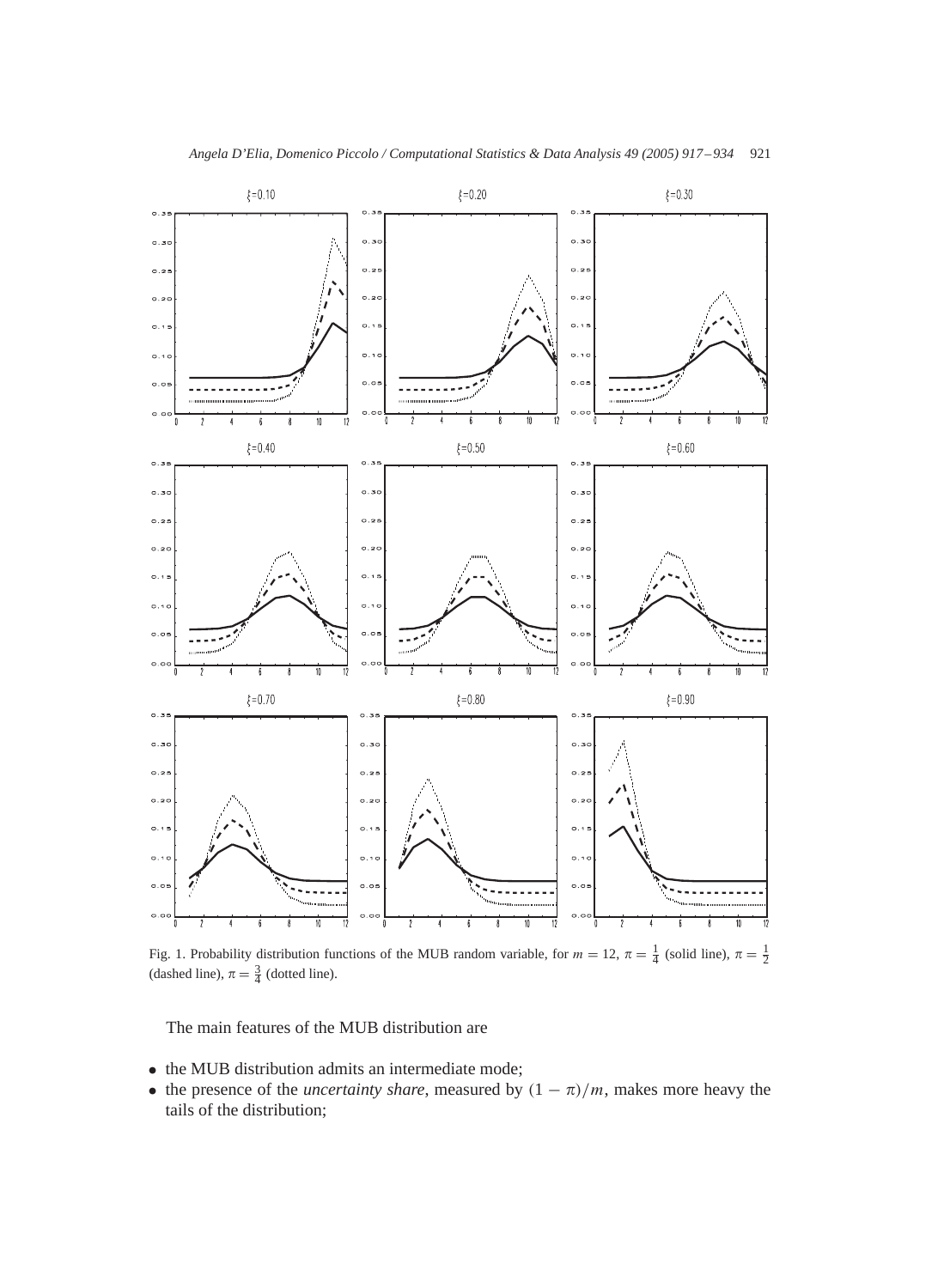

Fig. 1. Probability distribution functions of the MUB random variable, for  $m = 12$ ,  $\pi = \frac{1}{4}$  (solid line),  $\pi = \frac{1}{2}$ (dashed line),  $\pi = \frac{3}{4}$  (dotted line).

The main features of the MUB distribution are

- the MUB distribution admits an intermediate mode;
- the presence of the *uncertainty share*, measured by  $(1 \pi)/m$ , makes more heavy the tails of the distribution;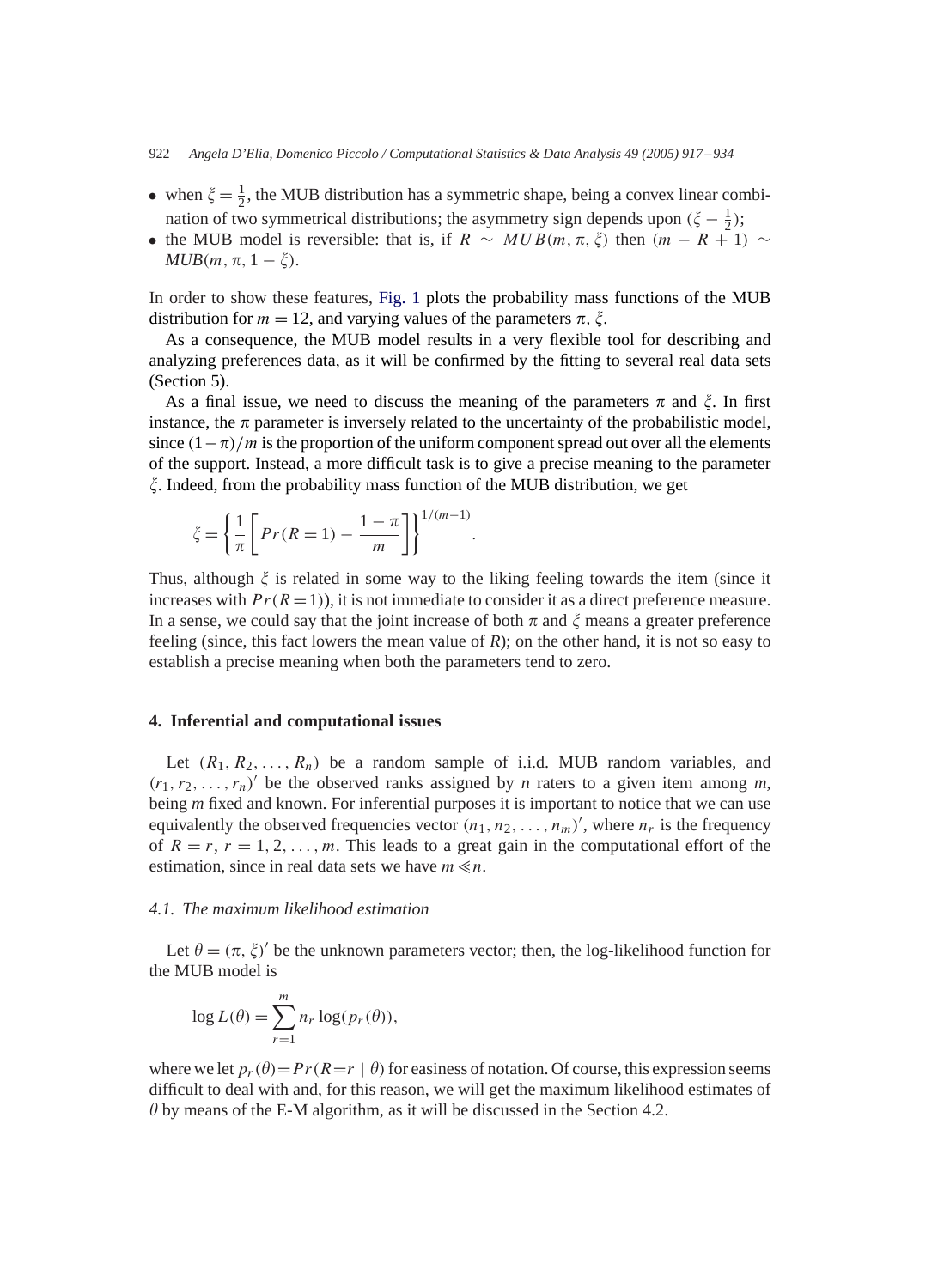- when  $\xi = \frac{1}{2}$ , the MUB distribution has a symmetric shape, being a convex linear combination of two symmetrical distributions; the asymmetry sign depends upon  $(\xi - \frac{1}{2})$ ;
- the MUB model is reversible: that is, if  $R \sim MUB(m, \pi, \xi)$  then  $(m R + 1) \sim$  $MUB(m, \pi, 1-\xi).$

In order to show these features, Fig. 1 plots the probability mass functions of the MUB distribution for  $m = 12$ , and varying values of the parameters  $\pi$ ,  $\xi$ .

As a consequence, the MUB model results in a very flexible tool for describing and analyzing preferences data, as it will be confirmed by the fitting to several real data sets (Section 5).

As a final issue, we need to discuss the meaning of the parameters  $\pi$  and  $\xi$ . In first instance, the  $\pi$  parameter is inversely related to the uncertainty of the probabilistic model, since  $(1 - \pi)/m$  is the proportion of the uniform component spread out over all the elements of the support. Instead, a more difficult task is to give a precise meaning to the parameter  $\zeta$ . Indeed, from the probability mass function of the MUB distribution, we get

$$
\zeta = \left\{ \frac{1}{\pi} \left[ Pr(R=1) - \frac{1-\pi}{m} \right] \right\}^{1/(m-1)}
$$

Thus, although  $\xi$  is related in some way to the liking feeling towards the item (since it increases with  $Pr(R = 1)$ , it is not immediate to consider it as a direct preference measure. In a sense, we could say that the joint increase of both  $\pi$  and  $\xi$  means a greater preference feeling (since, this fact lowers the mean value of *R*); on the other hand, it is not so easy to establish a precise meaning when both the parameters tend to zero.

.

# **4. Inferential and computational issues**

Let  $(R_1, R_2, \ldots, R_n)$  be a random sample of i.i.d. MUB random variables, and  $(r_1, r_2, \ldots, r_n)'$  be the observed ranks assigned by *n* raters to a given item among *m*, being *m* fixed and known. For inferential purposes it is important to notice that we can use equivalently the observed frequencies vector  $(n_1, n_2, \ldots, n_m)'$ , where  $n_r$  is the frequency of  $R = r$ ,  $r = 1, 2, \ldots, m$ . This leads to a great gain in the computational effort of the estimation, since in real data sets we have  $m \ll n$ .

## *4.1. The maximum likelihood estimation*

Let  $\theta = (\pi, \xi)'$  be the unknown parameters vector; then, the log-likelihood function for the MUB model is

$$
\log L(\theta) = \sum_{r=1}^{m} n_r \log(p_r(\theta)),
$$

where we let  $p_r(\theta)=Pr(R=r | \theta)$  for easiness of notation. Of course, this expression seems difficult to deal with and, for this reason, we will get the maximum likelihood estimates of  $\theta$  by means of the E-M algorithm, as it will be discussed in the Section 4.2.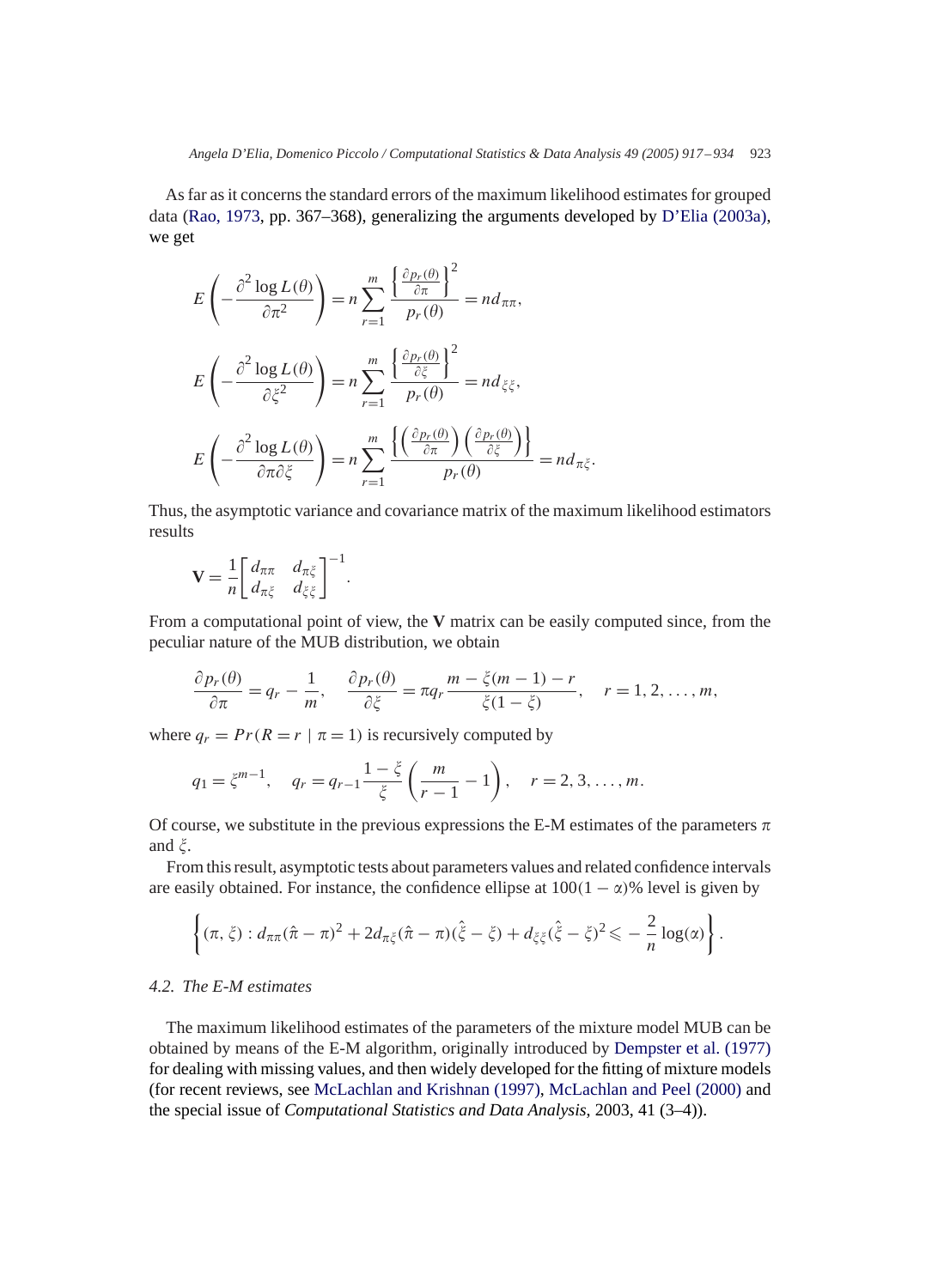As far as it concerns the standard errors of the maximum likelihood estimates for grouped data (Rao, 1973, pp. 367–368), generalizing the arguments developed by D'Elia (2003a), we get

$$
E\left(-\frac{\partial^2 \log L(\theta)}{\partial \pi^2}\right) = n \sum_{r=1}^m \frac{\left\{\frac{\partial p_r(\theta)}{\partial \pi}\right\}^2}{p_r(\theta)} = n d_{\pi\pi},
$$
  

$$
E\left(-\frac{\partial^2 \log L(\theta)}{\partial \xi^2}\right) = n \sum_{r=1}^m \frac{\left\{\frac{\partial p_r(\theta)}{\partial \xi}\right\}^2}{p_r(\theta)} = n d_{\xi\xi},
$$
  

$$
E\left(-\frac{\partial^2 \log L(\theta)}{\partial \pi \partial \xi}\right) = n \sum_{r=1}^m \frac{\left\{\left(\frac{\partial p_r(\theta)}{\partial \pi}\right) \left(\frac{\partial p_r(\theta)}{\partial \xi}\right)\right\}}{p_r(\theta)} = n d_{\pi\xi}.
$$

Thus, the asymptotic variance and covariance matrix of the maximum likelihood estimators results

$$
\mathbf{V} = \frac{1}{n} \begin{bmatrix} d_{\pi\pi} & d_{\pi\xi} \\ d_{\pi\xi} & d_{\xi\xi} \end{bmatrix}^{-1}.
$$

From a computational point of view, the **V** matrix can be easily computed since, from the peculiar nature of the MUB distribution, we obtain

$$
\frac{\partial p_r(\theta)}{\partial \pi} = q_r - \frac{1}{m}, \quad \frac{\partial p_r(\theta)}{\partial \xi} = \pi q_r \frac{m - \xi(m-1) - r}{\xi(1 - \xi)}, \quad r = 1, 2, \dots, m,
$$

where  $q_r = Pr(R = r | \pi = 1)$  is recursively computed by

$$
q_1 = \xi^{m-1}
$$
,  $q_r = q_{r-1} \frac{1-\xi}{\xi} \left( \frac{m}{r-1} - 1 \right)$ ,  $r = 2, 3, ..., m$ .

Of course, we substitute in the previous expressions the E-M estimates of the parameters  $\pi$ and  $\xi$ .

From this result, asymptotic tests about parameters values and related confidence intervals are easily obtained. For instance, the confidence ellipse at  $100(1 - \alpha)$ % level is given by

$$
\left\{(\pi,\xi):d_{\pi\pi}(\hat{\pi}-\pi)^2+2d_{\pi\xi}(\hat{\pi}-\pi)(\hat{\xi}-\xi)+d_{\xi\xi}(\hat{\xi}-\xi)^2\right\}=\frac{2}{n}\log(\alpha)\right\}.
$$

# *4.2. The E-M estimates*

The maximum likelihood estimates of the parameters of the mixture model MUB can be obtained by means of the E-M algorithm, originally introduced by Dempster et al. (1977) for dealing with missing values, and then widely developed for the fitting of mixture models (for recent reviews, see McLachlan and Krishnan (1997), McLachlan and Peel (2000) and the special issue of *Computational Statistics and Data Analysis*, 2003, 41 (3–4)).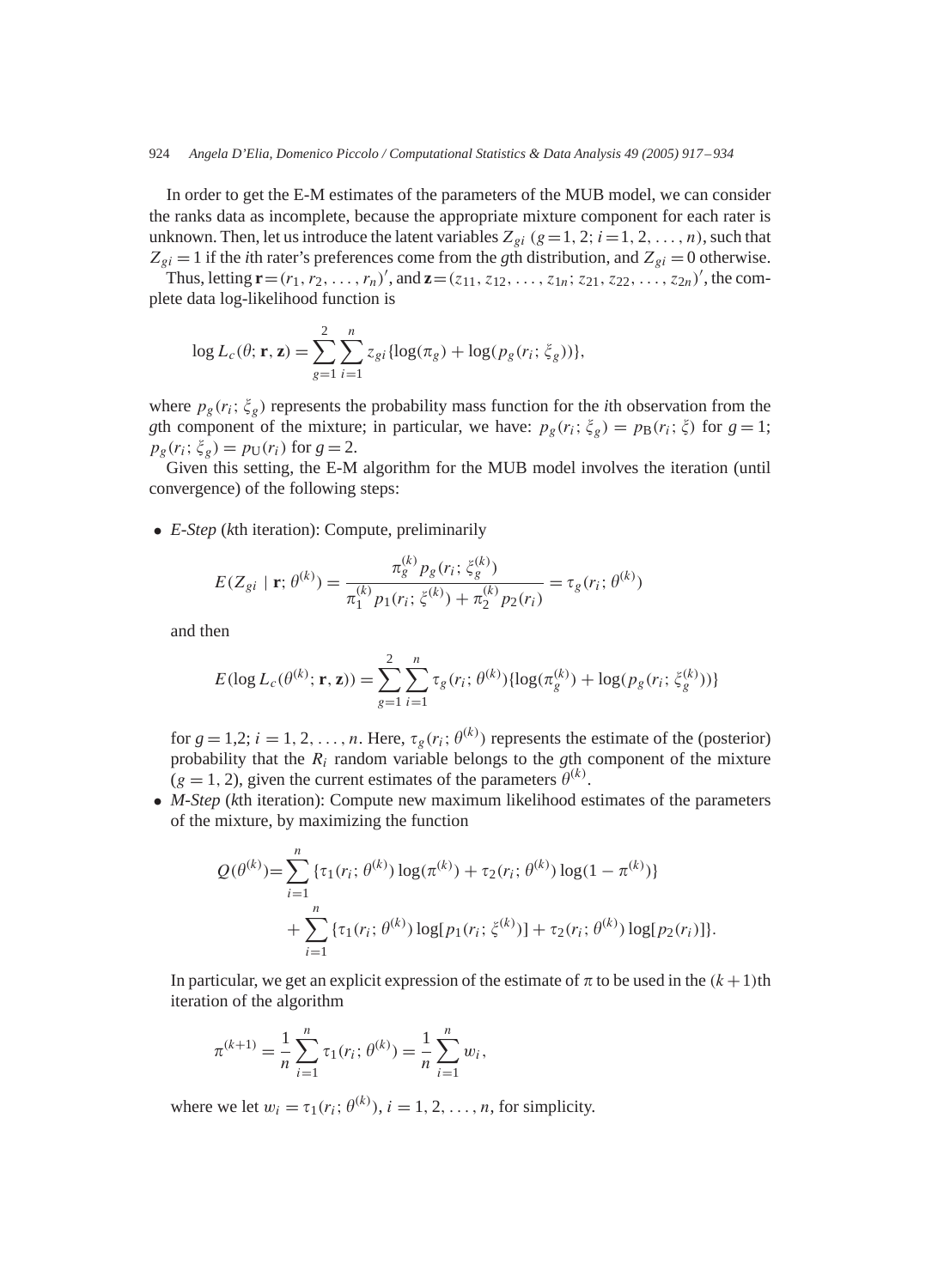#### 924 *Angela D'Elia, Domenico Piccolo / Computational Statistics & Data Analysis 49 (2005) 917 – 934*

In order to get the E-M estimates of the parameters of the MUB model, we can consider the ranks data as incomplete, because the appropriate mixture component for each rater is unknown. Then, let us introduce the latent variables  $Z_{gi}$  ( $g=1, 2; i=1, 2, \ldots, n$ ), such that  $Z_{gi} = 1$  if the *i*th rater's preferences come from the *g*th distribution, and  $Z_{gi} = 0$  otherwise.

Thus, letting  $\mathbf{r} = (r_1, r_2, \ldots, r_n)^\prime$ , and  $\mathbf{z} = (z_{11}, z_{12}, \ldots, z_{1n}; z_{21}, z_{22}, \ldots, z_{2n})^\prime$ , the complete data log-likelihood function is

$$
\log L_c(\theta; \mathbf{r}, \mathbf{z}) = \sum_{g=1}^2 \sum_{i=1}^n z_{gi} \{ \log(\pi_g) + \log(p_g(r_i; \zeta_g)) \},
$$

where  $p_g(r_i; \xi_g)$  represents the probability mass function for the *i*th observation from the *gth component of the mixture; in particular, we have:*  $p_g(r_i; \xi_g) = p_B(r_i; \xi)$  for  $g = 1$ ;  $p_g(r_i; \xi_g) = p_U(r_i)$  for  $g = 2$ .

Given this setting, the E-M algorithm for the MUB model involves the iteration (until convergence) of the following steps:

• *E-Step* (*k*th iteration): Compute, preliminarily

$$
E(Z_{gi} \mid \mathbf{r}; \theta^{(k)}) = \frac{\pi_g^{(k)} p_g(r_i; \xi_g^{(k)})}{\pi_1^{(k)} p_1(r_i; \xi^{(k)}) + \pi_2^{(k)} p_2(r_i)} = \tau_g(r_i; \theta^{(k)})
$$

and then

$$
E(\log L_c(\theta^{(k)}; \mathbf{r}, \mathbf{z})) = \sum_{g=1}^2 \sum_{i=1}^n \tau_g(r_i; \theta^{(k)}) \{ \log(\pi_g^{(k)}) + \log(p_g(r_i; \xi_g^{(k)})) \}
$$

for  $g = 1, 2; i = 1, 2, ..., n$ . Here,  $\tau_g(r_i; \theta^{(k)})$  represents the estimate of the (posterior) probability that the  $R_i$  random variable belongs to the *g*th component of the mixture  $(g = 1, 2)$ , given the current estimates of the parameters  $\theta^{(k)}$ .

• *M-Step* (*k*th iteration): Compute new maximum likelihood estimates of the parameters of the mixture, by maximizing the function

$$
Q(\theta^{(k)}) = \sum_{i=1}^{n} \{ \tau_1(r_i; \theta^{(k)}) \log(\pi^{(k)}) + \tau_2(r_i; \theta^{(k)}) \log(1 - \pi^{(k)}) \} + \sum_{i=1}^{n} \{ \tau_1(r_i; \theta^{(k)}) \log[p_1(r_i; \xi^{(k)})] + \tau_2(r_i; \theta^{(k)}) \log[p_2(r_i)] \}.
$$

In particular, we get an explicit expression of the estimate of  $\pi$  to be used in the  $(k+1)$ th iteration of the algorithm

$$
\pi^{(k+1)} = \frac{1}{n} \sum_{i=1}^{n} \tau_1(r_i; \theta^{(k)}) = \frac{1}{n} \sum_{i=1}^{n} w_i,
$$

where we let  $w_i = \tau_1(r_i; \theta^{(k)}), i = 1, 2, \ldots, n$ , for simplicity.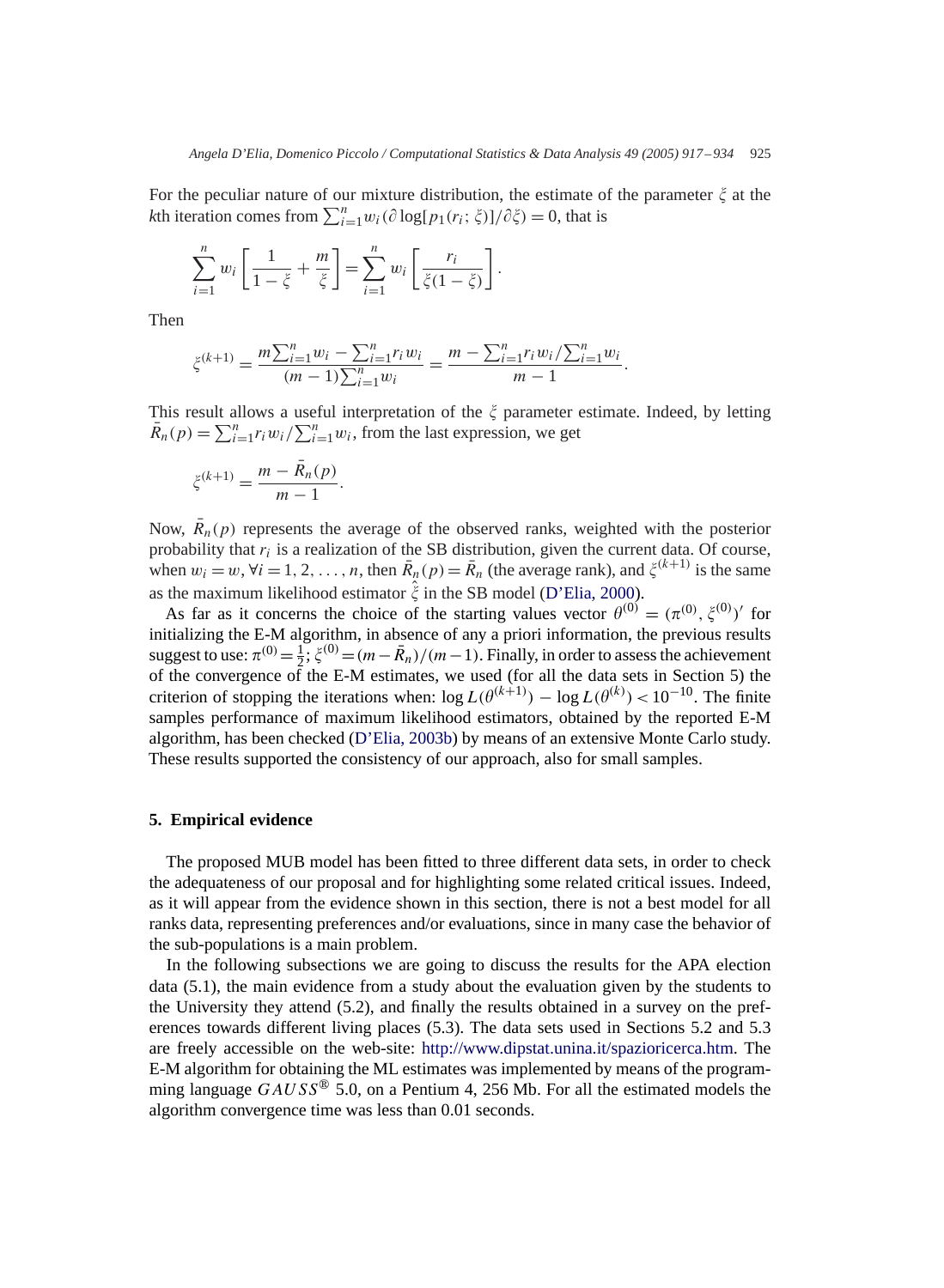For the peculiar nature of our mixture distribution, the estimate of the parameter  $\zeta$  at the *k*th iteration comes from  $\sum_{i=1}^{n} w_i(\partial \log[p_1(r_i; \xi)]/\partial \xi) = 0$ , that is

$$
\sum_{i=1}^n w_i \left[ \frac{1}{1-\xi} + \frac{m}{\xi} \right] = \sum_{i=1}^n w_i \left[ \frac{r_i}{\xi(1-\xi)} \right].
$$

Then

$$
\xi^{(k+1)} = \frac{m \sum_{i=1}^{n} w_i - \sum_{i=1}^{n} r_i w_i}{(m-1) \sum_{i=1}^{n} w_i} = \frac{m - \sum_{i=1}^{n} r_i w_i / \sum_{i=1}^{n} w_i}{m-1}.
$$

This result allows a useful interpretation of the  $\zeta$  parameter estimate. Indeed, by letting  $\bar{R}_n(p) = \sum_{i=1}^n r_i w_i / \sum_{i=1}^n w_i$ , from the last expression, we get

$$
\xi^{(k+1)} = \frac{m - \bar{R}_n(p)}{m-1}.
$$

Now,  $\bar{R}_n(p)$  represents the average of the observed ranks, weighted with the posterior probability that  $r_i$  is a realization of the SB distribution, given the current data. Of course, when  $w_i = w$ ,  $\forall i = 1, 2, ..., n$ , then  $\overline{R}_n(p) = \overline{R}_n$  (the average rank), and  $\xi^{(k+1)}$  is the same as the maximum likelihood estimator  $\hat{\xi}$  in the SB model (D'Elia, 2000).

As far as it concerns the choice of the starting values vector  $\theta^{(0)} = (\pi^{(0)}, \xi^{(0)})'$  for initializing the E-M algorithm, in absence of any a priori information, the previous results suggest to use:  $\pi^{(0)} = \frac{1}{2}$ ,  $\xi^{(0)} = (m - \bar{R}_n)/(m-1)$ . Finally, in order to assess the achievement of the convergence of the E-M estimates, we used (for all the data sets in Section 5) the criterion of stopping the iterations when:  $\log L(\theta^{(k+1)}) - \log L(\theta^{(k)}) < 10^{-10}$ . The finite samples performance of maximum likelihood estimators, obtained by the reported E-M algorithm, has been checked (D'Elia, 2003b) by means of an extensive Monte Carlo study. These results supported the consistency of our approach, also for small samples.

#### **5. Empirical evidence**

The proposed MUB model has been fitted to three different data sets, in order to check the adequateness of our proposal and for highlighting some related critical issues. Indeed, as it will appear from the evidence shown in this section, there is not a best model for all ranks data, representing preferences and/or evaluations, since in many case the behavior of the sub-populations is a main problem.

In the following subsections we are going to discuss the results for the APA election data (5.1), the main evidence from a study about the evaluation given by the students to the University they attend (5.2), and finally the results obtained in a survey on the preferences towards different living places (5.3). The data sets used in Sections 5.2 and 5.3 are freely accessible on the web-site: [http://www.dipstat.unina.it/spazioricerca.htm.](http://www.dipstat.unina.it/spazioricerca.htm) The E-M algorithm for obtaining the ML estimates was implemented by means of the programming language  $GAUSS^{\circledast}$  5.0, on a Pentium 4, 256 Mb. For all the estimated models the algorithm convergence time was less than 0.01 seconds.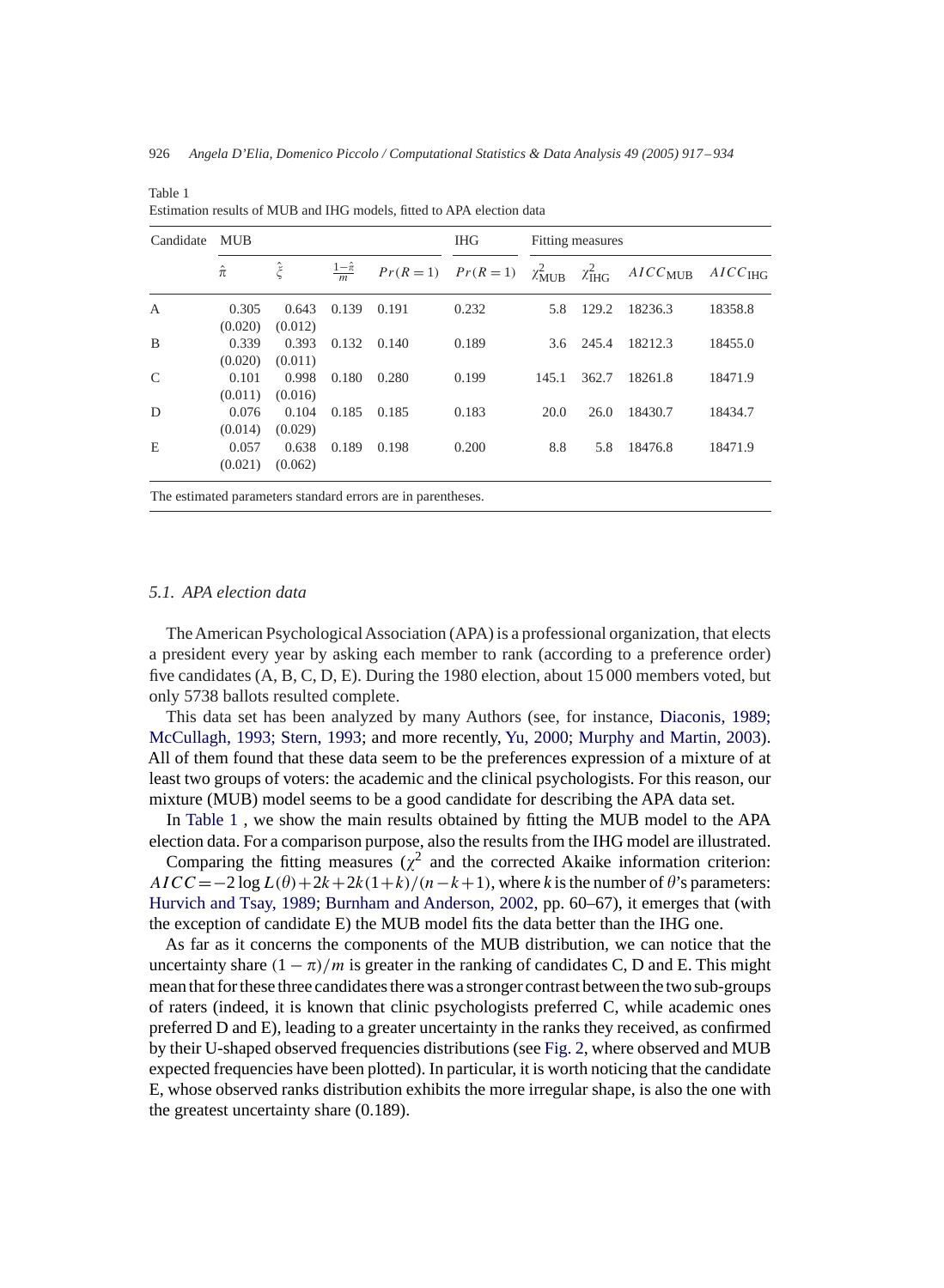| Candidate      | <b>MUB</b>       |                  |                       |             | <b>IHG</b>  | Fitting measures   |                       |                  |                       |
|----------------|------------------|------------------|-----------------------|-------------|-------------|--------------------|-----------------------|------------------|-----------------------|
|                | $\hat{\pi}$      | $\hat{\xi}$      | $rac{1-\hat{\pi}}{m}$ | $Pr(R = 1)$ | $Pr(R = 1)$ | $\chi^2_{\rm MUB}$ | $\chi^2_{\text{IHG}}$ | $AICC_{\rm MUB}$ | $AICC$ <sub>IHG</sub> |
| $\overline{A}$ | 0.305<br>(0.020) | 0.643<br>(0.012) | 0.139                 | 0.191       | 0.232       | 5.8                | 129.2                 | 18236.3          | 18358.8               |
| B              | 0.339<br>(0.020) | 0.393<br>(0.011) | 0.132                 | 0.140       | 0.189       | 3.6                | 245.4                 | 18212.3          | 18455.0               |
| C              | 0.101<br>(0.011) | 0.998<br>(0.016) | 0.180                 | 0.280       | 0.199       | 145.1              | 362.7                 | 18261.8          | 18471.9               |
| D              | 0.076<br>(0.014) | 0.104<br>(0.029) | 0.185                 | 0.185       | 0.183       | 20.0               | 26.0                  | 18430.7          | 18434.7               |
| E              | 0.057<br>(0.021) | 0.638<br>(0.062) | 0.189                 | 0.198       | 0.200       | 8.8                | 5.8                   | 18476.8          | 18471.9               |

Estimation results of MUB and IHG models, fitted to APA election data

### *5.1. APA election data*

Table 1

The American Psychological Association (APA) is a professional organization, that elects a president every year by asking each member to rank (according to a preference order) five candidates (A, B, C, D, E). During the 1980 election, about 15 000 members voted, but only 5738 ballots resulted complete.

This data set has been analyzed by many Authors (see, for instance, Diaconis, 1989; McCullagh, 1993; Stern, 1993; and more recently, Yu, 2000; Murphy and Martin, 2003). All of them found that these data seem to be the preferences expression of a mixture of at least two groups of voters: the academic and the clinical psychologists. For this reason, our mixture (MUB) model seems to be a good candidate for describing the APA data set.

In Table 1 , we show the main results obtained by fitting the MUB model to the APA election data. For a comparison purpose, also the results from the IHG model are illustrated.

Comparing the fitting measures ( $\chi^2$  and the corrected Akaike information criterion:  $AICC = -2 \log L(\theta) + 2k + 2k(1+k)/(n-k+1)$ , where *k* is the number of  $\theta$ 's parameters: Hurvich and Tsay, 1989; Burnham and Anderson, 2002, pp. 60–67), it emerges that (with the exception of candidate E) the MUB model fits the data better than the IHG one.

As far as it concerns the components of the MUB distribution, we can notice that the uncertainty share  $(1 - \pi)/m$  is greater in the ranking of candidates C, D and E. This might mean that for these three candidates there was a stronger contrast between the two sub-groups of raters (indeed, it is known that clinic psychologists preferred C, while academic ones preferred D and E), leading to a greater uncertainty in the ranks they received, as confirmed by their U-shaped observed frequencies distributions (see Fig. 2, where observed and MUB expected frequencies have been plotted). In particular, it is worth noticing that the candidate E, whose observed ranks distribution exhibits the more irregular shape, is also the one with the greatest uncertainty share (0.189).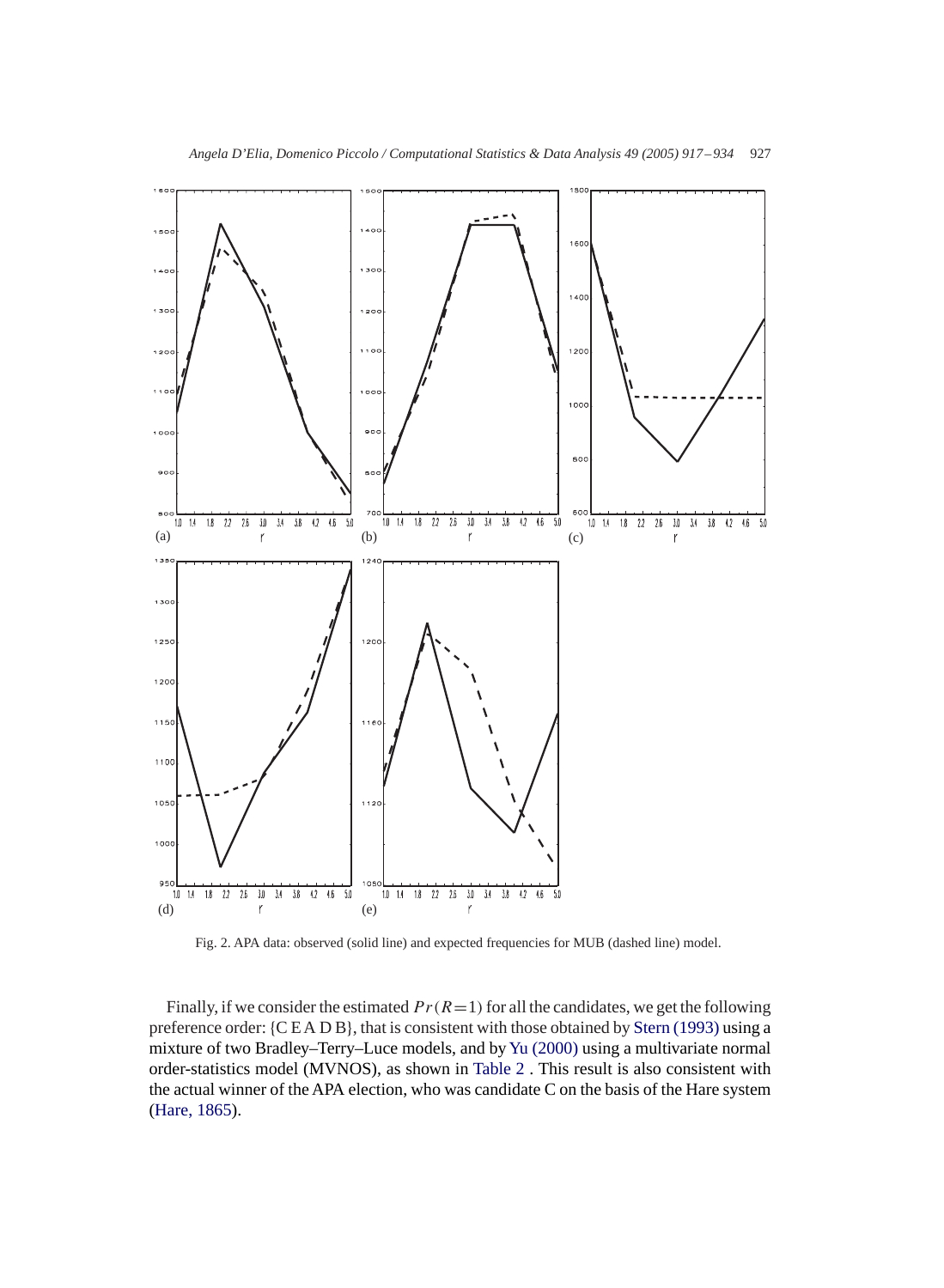

Fig. 2. APA data: observed (solid line) and expected frequencies for MUB (dashed line) model.

Finally, if we consider the estimated  $Pr(R=1)$  for all the candidates, we get the following preference order: {CEADB}, that is consistent with those obtained by Stern (1993) using a mixture of two Bradley–Terry–Luce models, and byYu (2000) using a multivariate normal order-statistics model (MVNOS), as shown in Table 2 . This result is also consistent with the actual winner of the APA election, who was candidate C on the basis of the Hare system (Hare, 1865).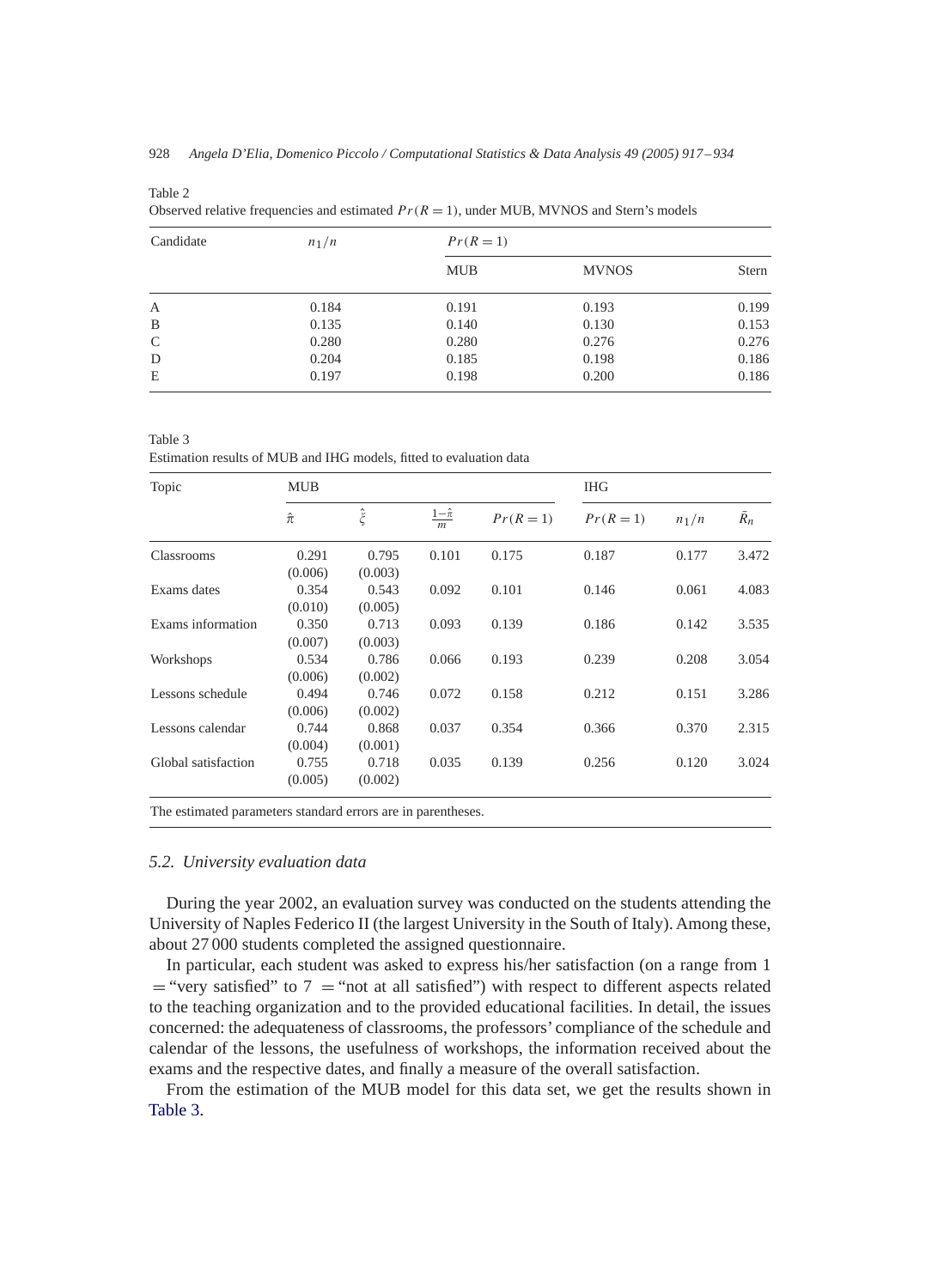| Candidate    | $n_1/n$ | $Pr(R = 1)$ |              |       |  |  |  |
|--------------|---------|-------------|--------------|-------|--|--|--|
|              |         | <b>MUB</b>  | <b>MVNOS</b> | Stern |  |  |  |
| $\mathbf{A}$ | 0.184   | 0.191       | 0.193        | 0.199 |  |  |  |
| B            | 0.135   | 0.140       | 0.130        | 0.153 |  |  |  |
| C            | 0.280   | 0.280       | 0.276        | 0.276 |  |  |  |
| D            | 0.204   | 0.185       | 0.198        | 0.186 |  |  |  |
| E            | 0.197   | 0.198       | 0.200        | 0.186 |  |  |  |

Table 2

Observed relative frequencies and estimated  $Pr(R = 1)$ , under MUB, MVNOS and Stern's models

Table 3

Estimation results of MUB and IHG models, fitted to evaluation data

| Topic               | <b>MUB</b>  |                     |                       |             | <b>IHG</b>  |         |       |  |
|---------------------|-------------|---------------------|-----------------------|-------------|-------------|---------|-------|--|
|                     | $\hat{\pi}$ | $\hat{\check{\xi}}$ | $rac{1-\hat{\pi}}{m}$ | $Pr(R = 1)$ | $Pr(R = 1)$ | $n_1/n$ | $R_n$ |  |
| Classrooms          | 0.291       | 0.795               | 0.101                 | 0.175       | 0.187       | 0.177   | 3.472 |  |
|                     | (0.006)     | (0.003)             |                       |             |             |         |       |  |
| Exams dates         | 0.354       | 0.543               | 0.092                 | 0.101       | 0.146       | 0.061   | 4.083 |  |
|                     | (0.010)     | (0.005)             |                       |             |             |         |       |  |
| Exams information   | 0.350       | 0.713               | 0.093                 | 0.139       | 0.186       | 0.142   | 3.535 |  |
|                     | (0.007)     | (0.003)             |                       |             |             |         |       |  |
| Workshops           | 0.534       | 0.786               | 0.066                 | 0.193       | 0.239       | 0.208   | 3.054 |  |
|                     | (0.006)     | (0.002)             |                       |             |             |         |       |  |
| Lessons schedule    | 0.494       | 0.746               | 0.072                 | 0.158       | 0.212       | 0.151   | 3.286 |  |
|                     | (0.006)     | (0.002)             |                       |             |             |         |       |  |
| Lessons calendar    | 0.744       | 0.868               | 0.037                 | 0.354       | 0.366       | 0.370   | 2.315 |  |
|                     | (0.004)     | (0.001)             |                       |             |             |         |       |  |
| Global satisfaction | 0.755       | 0.718               | 0.035                 | 0.139       | 0.256       | 0.120   | 3.024 |  |
|                     | (0.005)     | (0.002)             |                       |             |             |         |       |  |

## *5.2. University evaluation data*

During the year 2002, an evaluation survey was conducted on the students attending the University of Naples Federico II (the largest University in the South of Italy). Among these, about 27 000 students completed the assigned questionnaire.

In particular, each student was asked to express his/her satisfaction (on a range from 1  $=$  "very satisfied" to 7  $=$  "not at all satisfied") with respect to different aspects related to the teaching organization and to the provided educational facilities. In detail, the issues concerned: the adequateness of classrooms, the professors' compliance of the schedule and calendar of the lessons, the usefulness of workshops, the information received about the exams and the respective dates, and finally a measure of the overall satisfaction.

From the estimation of the MUB model for this data set, we get the results shown in Table 3.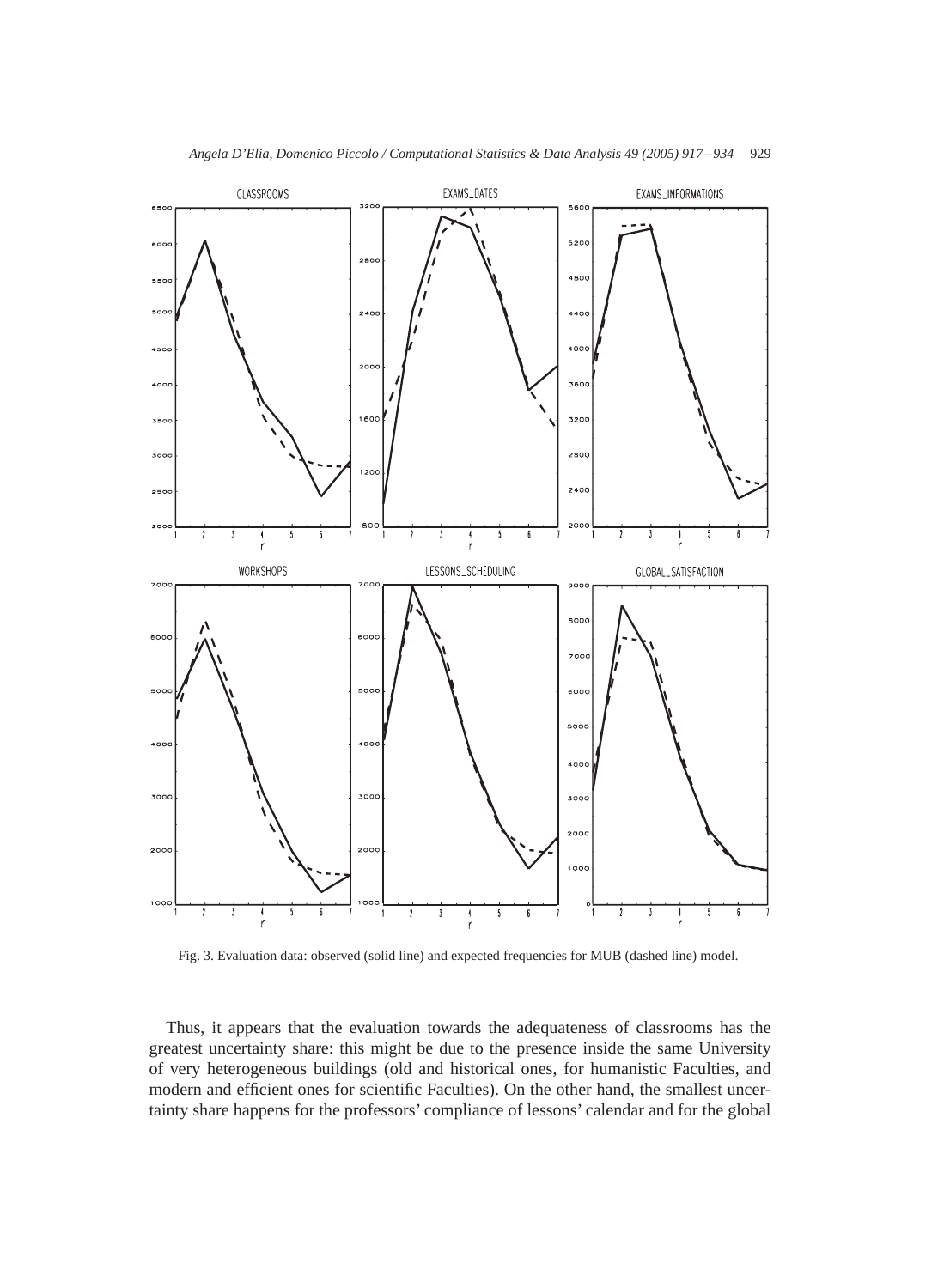

Fig. 3. Evaluation data: observed (solid line) and expected frequencies for MUB (dashed line) model.

Thus, it appears that the evaluation towards the adequateness of classrooms has the greatest uncertainty share: this might be due to the presence inside the same University of very heterogeneous buildings (old and historical ones, for humanistic Faculties, and modern and efficient ones for scientific Faculties). On the other hand, the smallest uncertainty share happens for the professors' compliance of lessons' calendar and for the global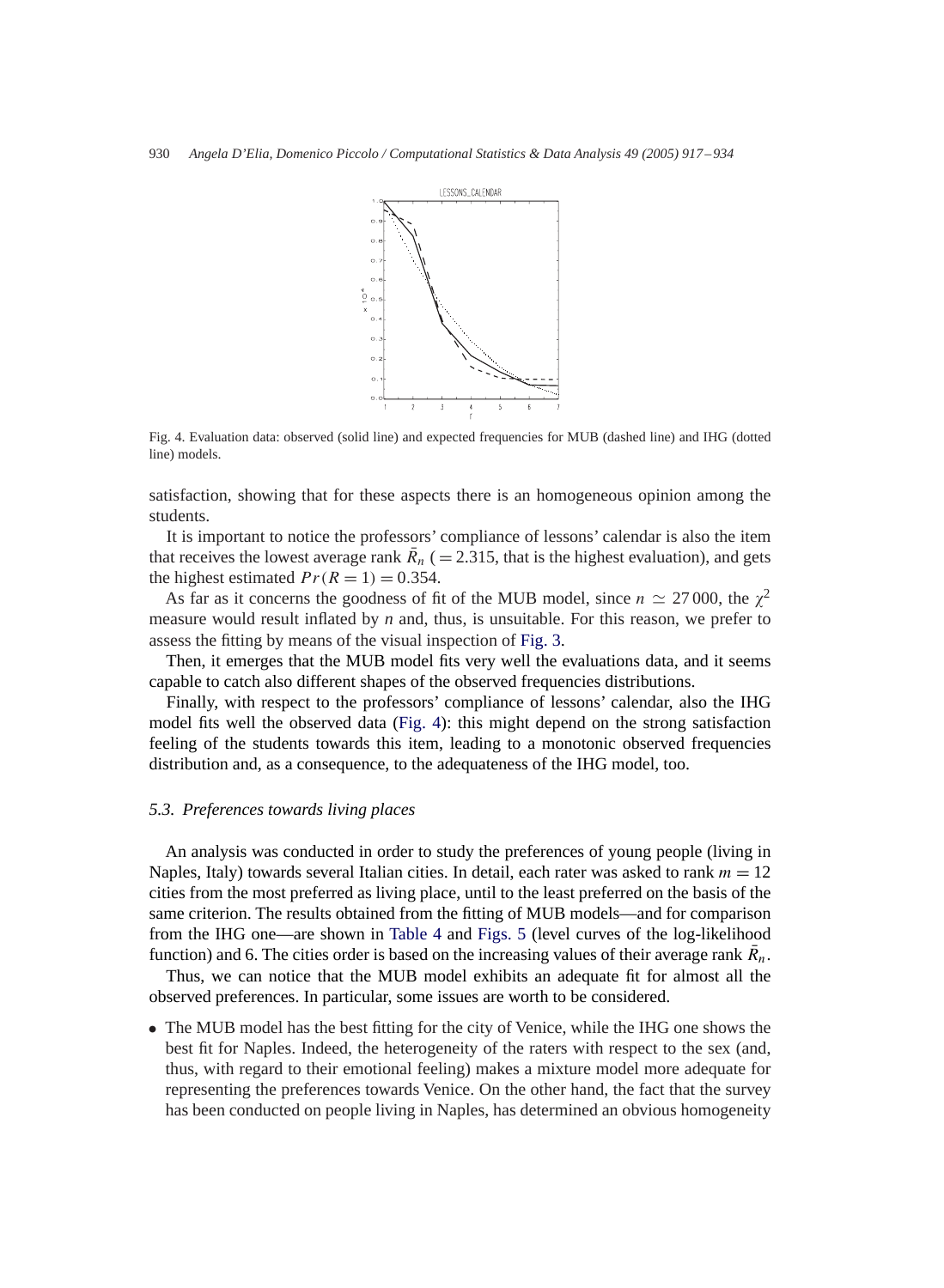

Fig. 4. Evaluation data: observed (solid line) and expected frequencies for MUB (dashed line) and IHG (dotted line) models.

satisfaction, showing that for these aspects there is an homogeneous opinion among the students.

It is important to notice the professors' compliance of lessons' calendar is also the item that receives the lowest average rank  $\bar{R}_n$  ( = 2.315, that is the highest evaluation), and gets the highest estimated  $Pr(R = 1) = 0.354$ .

As far as it concerns the goodness of fit of the MUB model, since  $n \approx 27000$ , the  $\chi^2$ measure would result inflated by *n* and, thus, is unsuitable. For this reason, we prefer to assess the fitting by means of the visual inspection of Fig. 3.

Then, it emerges that the MUB model fits very well the evaluations data, and it seems capable to catch also different shapes of the observed frequencies distributions.

Finally, with respect to the professors' compliance of lessons' calendar, also the IHG model fits well the observed data (Fig. 4): this might depend on the strong satisfaction feeling of the students towards this item, leading to a monotonic observed frequencies distribution and, as a consequence, to the adequateness of the IHG model, too.

## *5.3. Preferences towards living places*

An analysis was conducted in order to study the preferences of young people (living in Naples, Italy) towards several Italian cities. In detail, each rater was asked to rank  $m = 12$ cities from the most preferred as living place, until to the least preferred on the basis of the same criterion. The results obtained from the fitting of MUB models—and for comparison from the IHG one—are shown in Table 4 and Figs. 5 (level curves of the log-likelihood function) and 6. The cities order is based on the increasing values of their average rank  $\overline{R}_n$ .

Thus, we can notice that the MUB model exhibits an adequate fit for almost all the observed preferences. In particular, some issues are worth to be considered.

• The MUB model has the best fitting for the city of Venice, while the IHG one shows the best fit for Naples. Indeed, the heterogeneity of the raters with respect to the sex (and, thus, with regard to their emotional feeling) makes a mixture model more adequate for representing the preferences towards Venice. On the other hand, the fact that the survey has been conducted on people living in Naples, has determined an obvious homogeneity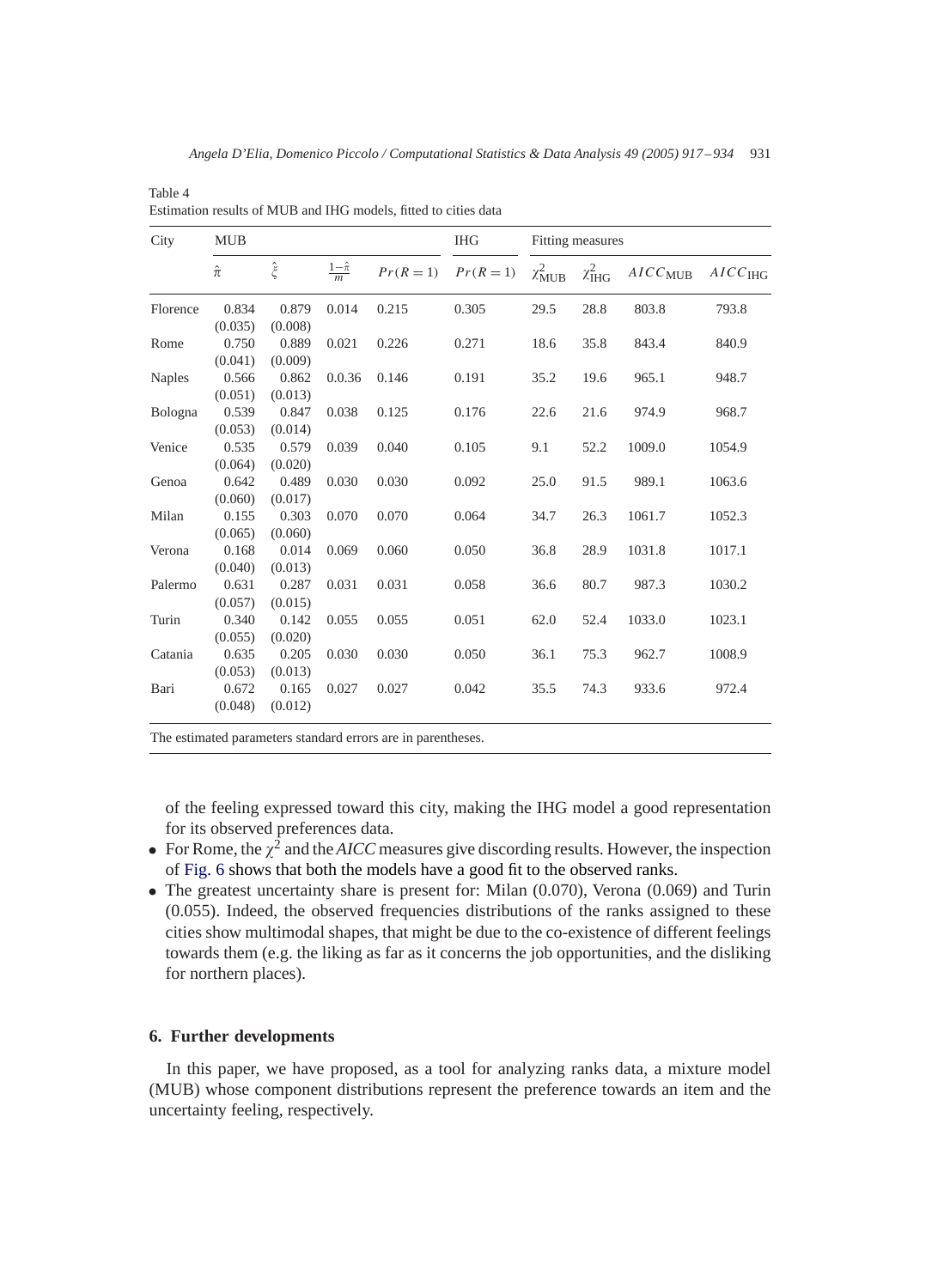| City          | <b>MUB</b>  |             |                       |       | <b>IHG</b>              | Fitting measures   |                       |              |                     |
|---------------|-------------|-------------|-----------------------|-------|-------------------------|--------------------|-----------------------|--------------|---------------------|
|               | $\hat{\pi}$ | $\hat{\xi}$ | $rac{1-\hat{\pi}}{m}$ |       | $Pr(R = 1)$ $Pr(R = 1)$ | $\chi^2_{\rm MUB}$ | $\chi^2_{\text{IHG}}$ | $AICC_{MUB}$ | AICC <sub>IHG</sub> |
| Florence      | 0.834       | 0.879       | 0.014                 | 0.215 | 0.305                   | 29.5               | 28.8                  | 803.8        | 793.8               |
|               | (0.035)     | (0.008)     |                       |       |                         |                    |                       |              |                     |
| Rome          | 0.750       | 0.889       | 0.021                 | 0.226 | 0.271                   | 18.6               | 35.8                  | 843.4        | 840.9               |
|               | (0.041)     | (0.009)     |                       |       |                         |                    |                       |              |                     |
| <b>Naples</b> | 0.566       | 0.862       | 0.0.36                | 0.146 | 0.191                   | 35.2               | 19.6                  | 965.1        | 948.7               |
|               | (0.051)     | (0.013)     |                       |       |                         |                    |                       |              |                     |
| Bologna       | 0.539       | 0.847       | 0.038                 | 0.125 | 0.176                   | 22.6               | 21.6                  | 974.9        | 968.7               |
|               | (0.053)     | (0.014)     |                       |       |                         |                    |                       |              |                     |
| Venice        | 0.535       | 0.579       | 0.039                 | 0.040 | 0.105                   | 9.1                | 52.2                  | 1009.0       | 1054.9              |
|               | (0.064)     | (0.020)     |                       |       |                         |                    |                       |              |                     |
| Genoa         | 0.642       | 0.489       | 0.030                 | 0.030 | 0.092                   | 25.0               | 91.5                  | 989.1        | 1063.6              |
|               | (0.060)     | (0.017)     |                       |       |                         |                    |                       |              |                     |
| Milan         | 0.155       | 0.303       | 0.070                 | 0.070 | 0.064                   | 34.7               | 26.3                  | 1061.7       | 1052.3              |
|               | (0.065)     | (0.060)     |                       |       |                         |                    |                       |              |                     |
| Verona        | 0.168       | 0.014       | 0.069                 | 0.060 | 0.050                   | 36.8               | 28.9                  | 1031.8       | 1017.1              |
|               | (0.040)     | (0.013)     |                       |       |                         |                    |                       |              |                     |
| Palermo       | 0.631       | 0.287       | 0.031                 | 0.031 | 0.058                   | 36.6               | 80.7                  | 987.3        | 1030.2              |
|               | (0.057)     | (0.015)     |                       |       |                         |                    |                       |              |                     |
| Turin         | 0.340       | 0.142       | 0.055                 | 0.055 | 0.051                   | 62.0               | 52.4                  | 1033.0       | 1023.1              |
|               | (0.055)     | (0.020)     |                       |       |                         |                    |                       |              |                     |
| Catania       | 0.635       | 0.205       | 0.030                 | 0.030 | 0.050                   | 36.1               | 75.3                  | 962.7        | 1008.9              |
|               | (0.053)     | (0.013)     |                       |       |                         |                    |                       |              |                     |
| Bari          | 0.672       | 0.165       | 0.027                 | 0.027 | 0.042                   | 35.5               | 74.3                  | 933.6        | 972.4               |
|               | (0.048)     | (0.012)     |                       |       |                         |                    |                       |              |                     |

Estimation results of MUB and IHG models, fitted to cities data

Table 4

The estimated parameters standard errors are in parentheses.

of the feeling expressed toward this city, making the IHG model a good representation for its observed preferences data.

- For Rome, the  $\chi^2$  and the *AICC* measures give discording results. However, the inspection of Fig. 6 shows that both the models have a good fit to the observed ranks.
- The greatest uncertainty share is present for: Milan (0.070), Verona (0.069) and Turin (0.055). Indeed, the observed frequencies distributions of the ranks assigned to these cities show multimodal shapes, that might be due to the co-existence of different feelings towards them (e.g. the liking as far as it concerns the job opportunities, and the disliking for northern places).

# **6. Further developments**

In this paper, we have proposed, as a tool for analyzing ranks data, a mixture model (MUB) whose component distributions represent the preference towards an item and the uncertainty feeling, respectively.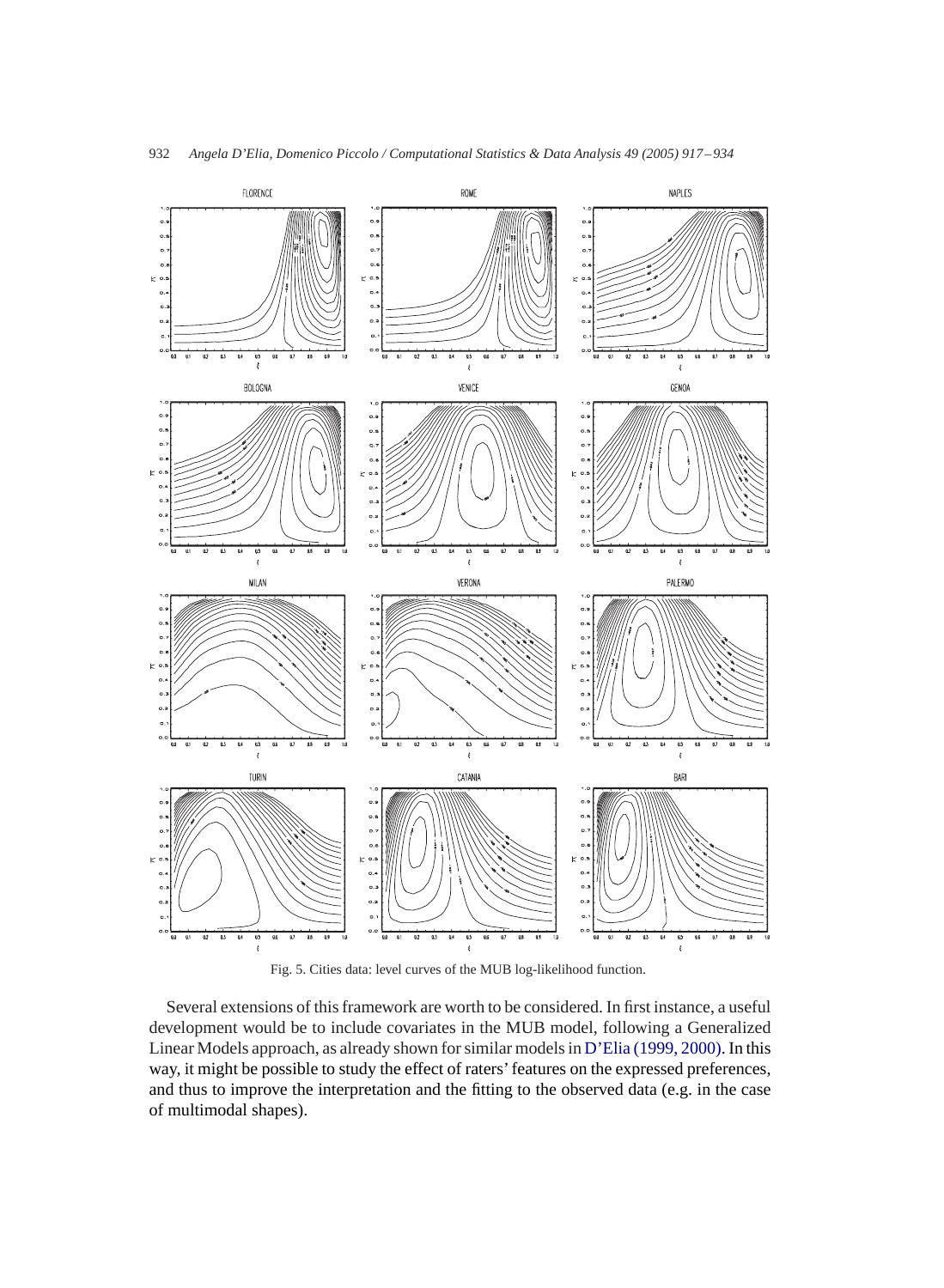

Fig. 5. Cities data: level curves of the MUB log-likelihood function.

Several extensions of this framework are worth to be considered. In first instance, a useful development would be to include covariates in the MUB model, following a Generalized Linear Models approach, as already shown for similar models in D'Elia (1999, 2000). In this way, it might be possible to study the effect of raters' features on the expressed preferences, and thus to improve the interpretation and the fitting to the observed data (e.g. in the case of multimodal shapes).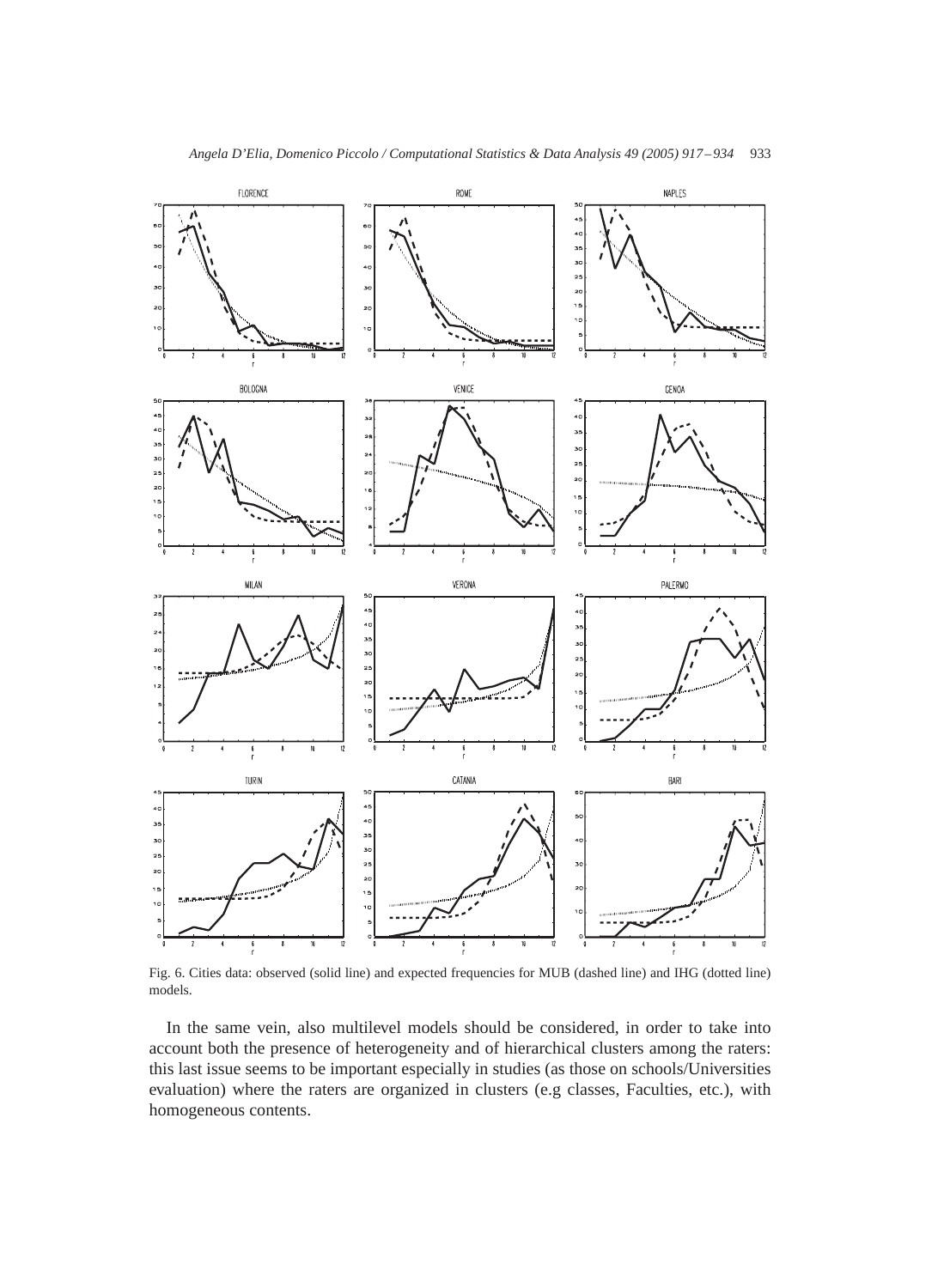

Fig. 6. Cities data: observed (solid line) and expected frequencies for MUB (dashed line) and IHG (dotted line) models.

In the same vein, also multilevel models should be considered, in order to take into account both the presence of heterogeneity and of hierarchical clusters among the raters: this last issue seems to be important especially in studies (as those on schools/Universities evaluation) where the raters are organized in clusters (e.g classes, Faculties, etc.), with homogeneous contents.